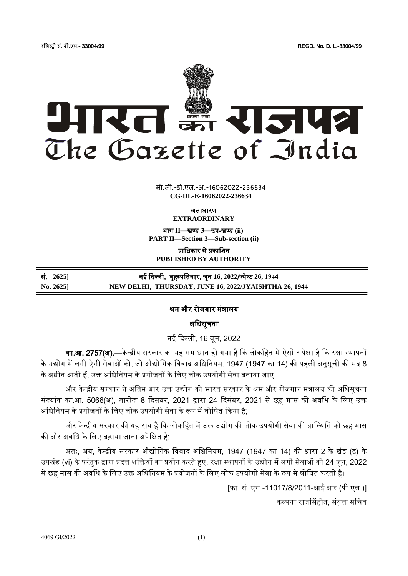रजजस्ट्री सं. डी.एल.- 33004/99 REGD. No. D. L.-33004/99



**x** सी.जी.-डी.एल.-अ.-16062022-23663<mark>4</mark> **CG-DL-E-16062022-236634**

ऄसाधारण

**EXTRAORDINARY**

भाग II-बण्ड 3-उप-खण्ड (ii) **PART II—Section 3—Sub-section (ii)**

प्राजधकार से प्रकाजित **PUBLISHED BY AUTHORITY**

| सं. 2625]            | नई दिल्ली,  बृहस्पतिवार, जून 16, 2022/ज्येष्ठ 26, 1944 |
|----------------------|--------------------------------------------------------|
| $\mathrm{No.}\,2625$ | NEW DELHI, THURSDAY, JUNE 16, 2022/JYAISHTHA 26, 1944  |

## श्रम और रोजगार मंत्रालय

अधिसूचना

नई दिल्ली, 16 जून, 2022

**का.आ. 2757(अ).**—केन्द्रीय सरकार का यह समाधान हो गया है कि लोकहित में ऐसी अपेक्षा है कि रक्षा स्थापनों के उद्योग में लगी ऐसी सेवाओं को, जो औद्योगिक विवाद अधिनियम, 1947 (1947 का 14) की पहली अनुसूची की मद 8 के अधीन आती हैं, उक्त अधिनियम के प्रयोजनों के लिए लोक उपयोगी सेवा बनाया जाए ;

और केन्द्रीय सरकार ने अंतिम बार उक्त उद्योग को भारत सरकार के श्रम और रोजगार मंत्रालय की अधिसूचना संख्यांक का.आ. 5066(अ), तारीख 8 दिसंबर, 2021 द्वारा 24 दिसंबर, 2021 से छह मास की अवधि के लिए उक्त अधिनियम के प्रयोजनों के लिए लोक उपयोगी सेवा के रूप में घोषित किया है;

और केन्द्रीय सरकार की यह राय है कि लोकहित में उक्त उद्योग की लोक उपयोगी सेवा की प्रास्थिति को छह मास की और अवधि के लिए बढ़ाया जाना अपेक्षित है;

अतः, अब, केन्द्रीय सरकार औद्योगिक विवाद अधिनियम, 1947 (1947 का 14) की धारा 2 के खंड (ढ) के उपखंड (vi) केपरंतुक द्वारा प्रदत्त िजक्तयों का प्रयोग करतेहुए, रक्षा स्ट्थापनों केउद्योग मेंलगी सेवाओं को 24 जून, 2022 से छह मास की अवधि के लिए उक्त अधिनियम के प्रयोजनों के लिए लोक उपयोगी सेवा के रूप में घोषित करती है।

[फा. सं. एस.-11017/8/2011-अई.अर.(पी.एल.)]

कल्पना राजससहोत, संयुक्त सजचव